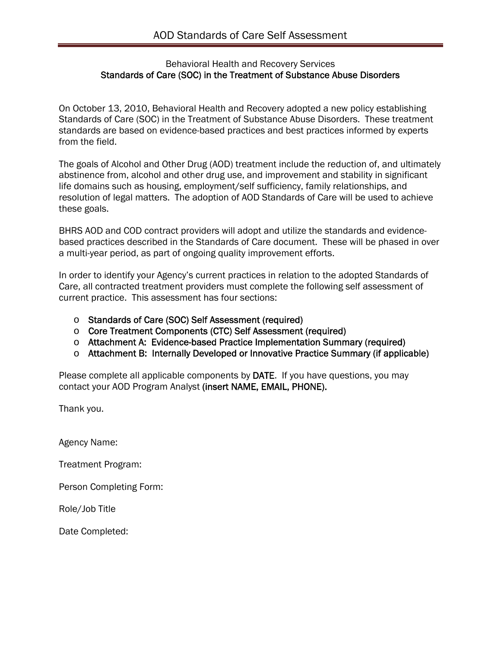### Behavioral Health and Recovery Services Standards of Care (SOC) in the Treatment of Substance Abuse Disorders

On October 13, 2010, Behavioral Health and Recovery adopted a new policy establishing Standards of Care (SOC) in the Treatment of Substance Abuse Disorders. These treatment standards are based on evidence-based practices and best practices informed by experts from the field.

The goals of Alcohol and Other Drug (AOD) treatment include the reduction of, and ultimately abstinence from, alcohol and other drug use, and improvement and stability in significant life domains such as housing, employment/self sufficiency, family relationships, and resolution of legal matters. The adoption of AOD Standards of Care will be used to achieve these goals.

BHRS AOD and COD contract providers will adopt and utilize the standards and evidencebased practices described in the Standards of Care document. These will be phased in over a multi-year period, as part of ongoing quality improvement efforts.

In order to identify your Agency's current practices in relation to the adopted Standards of Care, all contracted treatment providers must complete the following self assessment of current practice. This assessment has four sections:

- o Standards of Care (SOC) Self Assessment (required)
- o Core Treatment Components (CTC) Self Assessment (required)
- o Attachment A: Evidence-based Practice Implementation Summary (required)
- o Attachment B: Internally Developed or Innovative Practice Summary (if applicable)

Please complete all applicable components by DATE. If you have questions, you may contact your AOD Program Analyst (insert NAME, EMAIL, PHONE).

Thank you.

Agency Name:

Treatment Program:

Person Completing Form:

Role/Job Title

Date Completed: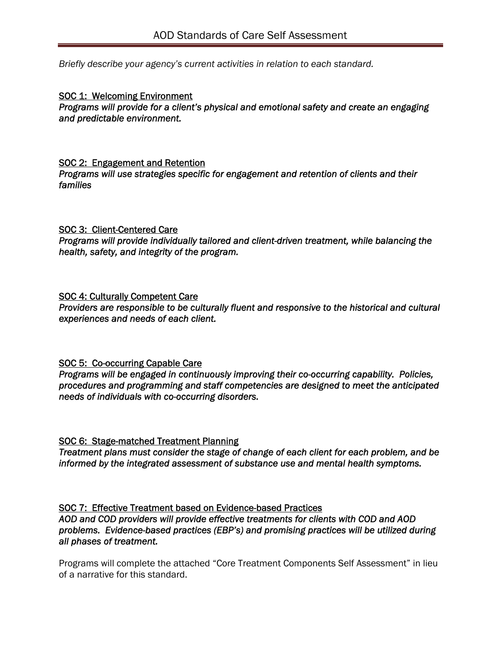*Briefly describe your agency's current activities in relation to each standard.* 

#### SOC 1: Welcoming Environment *Programs will provide for a client's physical and emotional safety and create an engaging and predictable environment.*

#### SOC 2: Engagement and Retention

*Programs will use strategies specific for engagement and retention of clients and their families*

#### SOC 3: Client-Centered Care

*Programs will provide individually tailored and client-driven treatment, while balancing the health, safety, and integrity of the program.*

#### SOC 4: Culturally Competent Care

*Providers are responsible to be culturally fluent and responsive to the historical and cultural experiences and needs of each client.*

## SOC 5: Co-occurring Capable Care

*Programs will be engaged in continuously improving their co-occurring capability. Policies, procedures and programming and staff competencies are designed to meet the anticipated needs of individuals with co-occurring disorders.*

## SOC 6: Stage-matched Treatment Planning

*Treatment plans must consider the stage of change of each client for each problem, and be informed by the integrated assessment of substance use and mental health symptoms.*

## SOC 7: Effective Treatment based on Evidence-based Practices

*AOD and COD providers will provide effective treatments for clients with COD and AOD problems. Evidence-based practices (EBP's) and promising practices will be utilized during all phases of treatment.* 

Programs will complete the attached "Core Treatment Components Self Assessment" in lieu of a narrative for this standard.